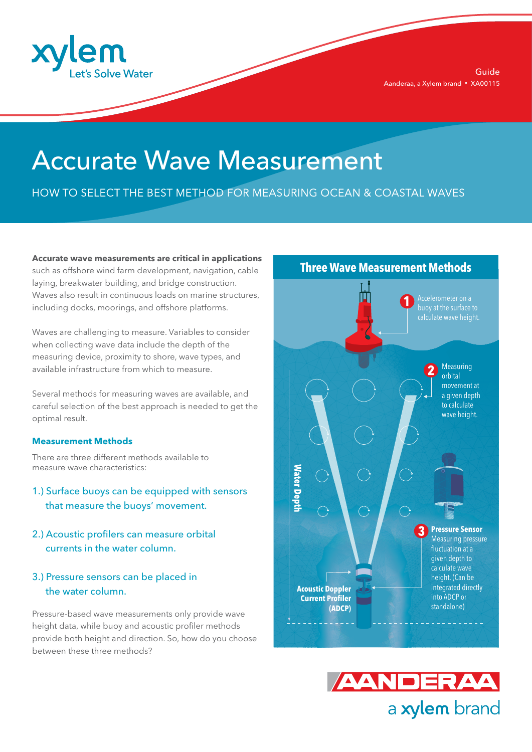

# Accurate Wave Measurement

HOW TO SELECT THE BEST METHOD FOR MEASURING OCEAN & COASTAL WAVES

**Accurate wave measurements are critical in applications** such as offshore wind farm development, navigation, cable laying, breakwater building, and bridge construction. Waves also result in continuous loads on marine structures, including docks, moorings, and offshore platforms.

Waves are challenging to measure. Variables to consider when collecting wave data include the depth of the measuring device, proximity to shore, wave types, and available infrastructure from which to measure.

Several methods for measuring waves are available, and careful selection of the best approach is needed to get the optimal result.

#### **Measurement Methods**

There are three different methods available to measure wave characteristics:

- 1.) Surface buoys can be equipped with sensors that measure the buoys' movement.
- 2.) Acoustic profilers can measure orbital currents in the water column.
- 3.) Pressure sensors can be placed in the water column.

Pressure-based wave measurements only provide wave height data, while buoy and acoustic profiler methods provide both height and direction. So, how do you choose between these three methods?